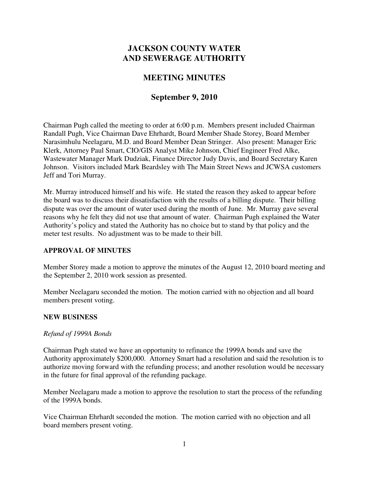# **JACKSON COUNTY WATER AND SEWERAGE AUTHORITY**

## **MEETING MINUTES**

### **September 9, 2010**

Chairman Pugh called the meeting to order at 6:00 p.m. Members present included Chairman Randall Pugh, Vice Chairman Dave Ehrhardt, Board Member Shade Storey, Board Member Narasimhulu Neelagaru, M.D. and Board Member Dean Stringer. Also present: Manager Eric Klerk, Attorney Paul Smart, CIO/GIS Analyst Mike Johnson, Chief Engineer Fred Alke, Wastewater Manager Mark Dudziak, Finance Director Judy Davis, and Board Secretary Karen Johnson. Visitors included Mark Beardsley with The Main Street News and JCWSA customers Jeff and Tori Murray.

Mr. Murray introduced himself and his wife. He stated the reason they asked to appear before the board was to discuss their dissatisfaction with the results of a billing dispute. Their billing dispute was over the amount of water used during the month of June. Mr. Murray gave several reasons why he felt they did not use that amount of water. Chairman Pugh explained the Water Authority's policy and stated the Authority has no choice but to stand by that policy and the meter test results. No adjustment was to be made to their bill.

### **APPROVAL OF MINUTES**

Member Storey made a motion to approve the minutes of the August 12, 2010 board meeting and the September 2, 2010 work session as presented.

Member Neelagaru seconded the motion. The motion carried with no objection and all board members present voting.

#### **NEW BUSINESS**

#### *Refund of 1999A Bonds*

Chairman Pugh stated we have an opportunity to refinance the 1999A bonds and save the Authority approximately \$200,000. Attorney Smart had a resolution and said the resolution is to authorize moving forward with the refunding process; and another resolution would be necessary in the future for final approval of the refunding package.

Member Neelagaru made a motion to approve the resolution to start the process of the refunding of the 1999A bonds.

Vice Chairman Ehrhardt seconded the motion. The motion carried with no objection and all board members present voting.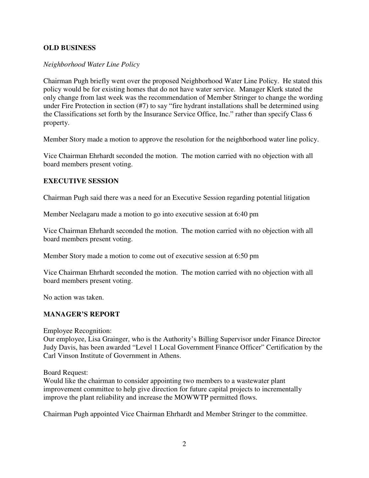#### **OLD BUSINESS**

#### *Neighborhood Water Line Policy*

Chairman Pugh briefly went over the proposed Neighborhood Water Line Policy. He stated this policy would be for existing homes that do not have water service. Manager Klerk stated the only change from last week was the recommendation of Member Stringer to change the wording under Fire Protection in section (#7) to say "fire hydrant installations shall be determined using the Classifications set forth by the Insurance Service Office, Inc." rather than specify Class 6 property.

Member Story made a motion to approve the resolution for the neighborhood water line policy.

Vice Chairman Ehrhardt seconded the motion. The motion carried with no objection with all board members present voting.

#### **EXECUTIVE SESSION**

Chairman Pugh said there was a need for an Executive Session regarding potential litigation

Member Neelagaru made a motion to go into executive session at 6:40 pm

Vice Chairman Ehrhardt seconded the motion. The motion carried with no objection with all board members present voting.

Member Story made a motion to come out of executive session at 6:50 pm

Vice Chairman Ehrhardt seconded the motion. The motion carried with no objection with all board members present voting.

No action was taken.

#### **MANAGER'S REPORT**

Employee Recognition:

Our employee, Lisa Grainger, who is the Authority's Billing Supervisor under Finance Director Judy Davis, has been awarded "Level 1 Local Government Finance Officer" Certification by the Carl Vinson Institute of Government in Athens.

Board Request:

Would like the chairman to consider appointing two members to a wastewater plant improvement committee to help give direction for future capital projects to incrementally improve the plant reliability and increase the MOWWTP permitted flows.

Chairman Pugh appointed Vice Chairman Ehrhardt and Member Stringer to the committee.